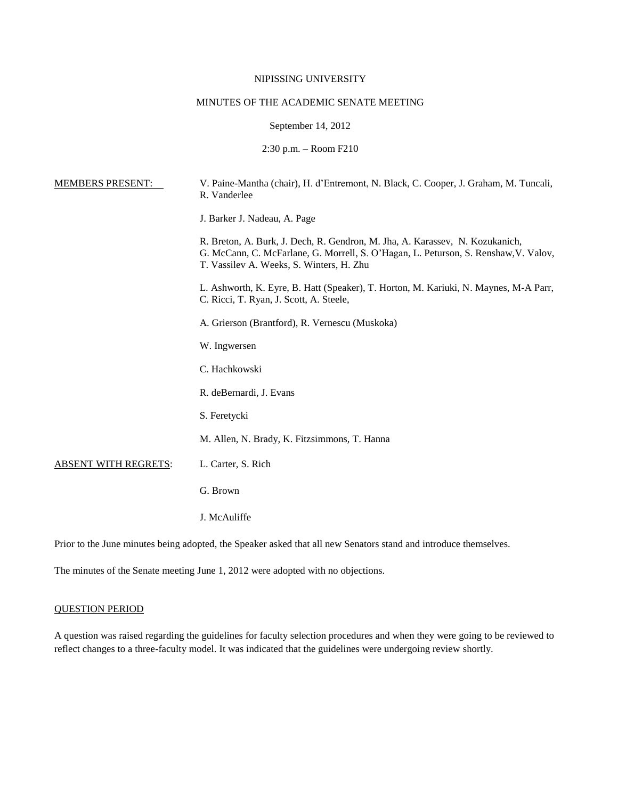## NIPISSING UNIVERSITY

# MINUTES OF THE ACADEMIC SENATE MEETING

### September 14, 2012

2:30 p.m. – Room F210

| <b>MEMBERS PRESENT:</b>     | V. Paine-Mantha (chair), H. d'Entremont, N. Black, C. Cooper, J. Graham, M. Tuncali,<br>R. Vanderlee                                                                                                            |
|-----------------------------|-----------------------------------------------------------------------------------------------------------------------------------------------------------------------------------------------------------------|
|                             | J. Barker J. Nadeau, A. Page                                                                                                                                                                                    |
|                             | R. Breton, A. Burk, J. Dech, R. Gendron, M. Jha, A. Karassev, N. Kozukanich,<br>G. McCann, C. McFarlane, G. Morrell, S. O'Hagan, L. Peturson, S. Renshaw, V. Valov,<br>T. Vassilev A. Weeks, S. Winters, H. Zhu |
|                             | L. Ashworth, K. Eyre, B. Hatt (Speaker), T. Horton, M. Kariuki, N. Maynes, M-A Parr,<br>C. Ricci, T. Ryan, J. Scott, A. Steele,                                                                                 |
|                             | A. Grierson (Brantford), R. Vernescu (Muskoka)                                                                                                                                                                  |
|                             | W. Ingwersen                                                                                                                                                                                                    |
|                             | C. Hachkowski                                                                                                                                                                                                   |
|                             | R. deBernardi, J. Evans                                                                                                                                                                                         |
|                             | S. Feretycki                                                                                                                                                                                                    |
|                             | M. Allen, N. Brady, K. Fitzsimmons, T. Hanna                                                                                                                                                                    |
| <b>ABSENT WITH REGRETS:</b> | L. Carter, S. Rich                                                                                                                                                                                              |
|                             | G. Brown                                                                                                                                                                                                        |
|                             | J. McAuliffe                                                                                                                                                                                                    |

Prior to the June minutes being adopted, the Speaker asked that all new Senators stand and introduce themselves.

The minutes of the Senate meeting June 1, 2012 were adopted with no objections.

#### QUESTION PERIOD

A question was raised regarding the guidelines for faculty selection procedures and when they were going to be reviewed to reflect changes to a three-faculty model. It was indicated that the guidelines were undergoing review shortly.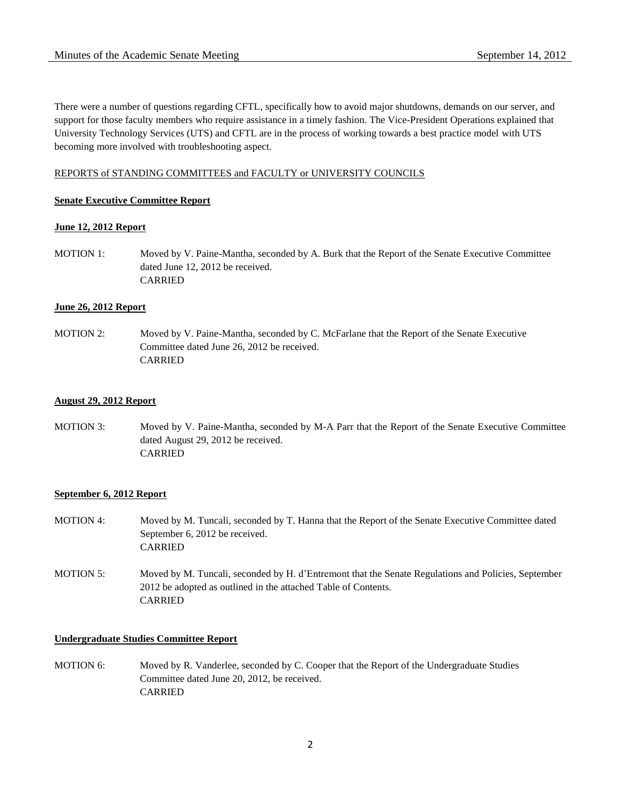There were a number of questions regarding CFTL, specifically how to avoid major shutdowns, demands on our server, and support for those faculty members who require assistance in a timely fashion. The Vice-President Operations explained that University Technology Services (UTS) and CFTL are in the process of working towards a best practice model with UTS becoming more involved with troubleshooting aspect.

## REPORTS of STANDING COMMITTEES and FACULTY or UNIVERSITY COUNCILS

## **Senate Executive Committee Report**

## **June 12, 2012 Report**

MOTION 1: Moved by V. Paine-Mantha, seconded by A. Burk that the Report of the Senate Executive Committee dated June 12, 2012 be received. CARRIED

## **June 26, 2012 Report**

MOTION 2: Moved by V. Paine-Mantha, seconded by C. McFarlane that the Report of the Senate Executive Committee dated June 26, 2012 be received. CARRIED

### **August 29, 2012 Report**

MOTION 3: Moved by V. Paine-Mantha, seconded by M-A Parr that the Report of the Senate Executive Committee dated August 29, 2012 be received. CARRIED

# **September 6, 2012 Report**

- MOTION 4: Moved by M. Tuncali, seconded by T. Hanna that the Report of the Senate Executive Committee dated September 6, 2012 be received. CARRIED
- MOTION 5: Moved by M. Tuncali, seconded by H. d'Entremont that the Senate Regulations and Policies, September 2012 be adopted as outlined in the attached Table of Contents. CARRIED

### **Undergraduate Studies Committee Report**

MOTION 6: Moved by R. Vanderlee, seconded by C. Cooper that the Report of the Undergraduate Studies Committee dated June 20, 2012, be received. CARRIED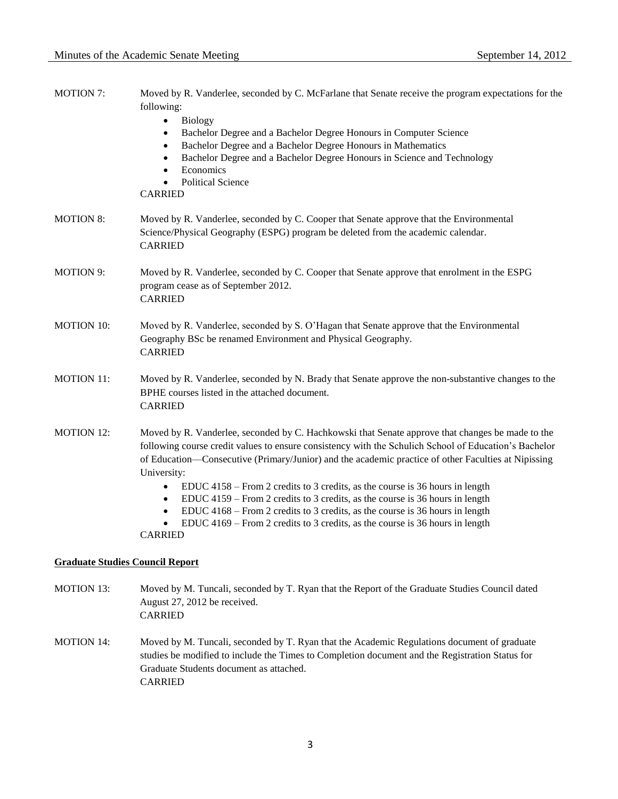| <b>MOTION 7:</b>                       | Moved by R. Vanderlee, seconded by C. McFarlane that Senate receive the program expectations for the<br>following:<br><b>Biology</b><br>$\bullet$<br>Bachelor Degree and a Bachelor Degree Honours in Computer Science<br>٠                                                                                                                                                                                                                                                                                               |
|----------------------------------------|---------------------------------------------------------------------------------------------------------------------------------------------------------------------------------------------------------------------------------------------------------------------------------------------------------------------------------------------------------------------------------------------------------------------------------------------------------------------------------------------------------------------------|
|                                        | Bachelor Degree and a Bachelor Degree Honours in Mathematics<br>$\bullet$<br>Bachelor Degree and a Bachelor Degree Honours in Science and Technology<br>$\bullet$<br>Economics<br>$\bullet$<br><b>Political Science</b><br>$\bullet$<br><b>CARRIED</b>                                                                                                                                                                                                                                                                    |
| <b>MOTION 8:</b>                       | Moved by R. Vanderlee, seconded by C. Cooper that Senate approve that the Environmental<br>Science/Physical Geography (ESPG) program be deleted from the academic calendar.<br><b>CARRIED</b>                                                                                                                                                                                                                                                                                                                             |
| <b>MOTION 9:</b>                       | Moved by R. Vanderlee, seconded by C. Cooper that Senate approve that enrolment in the ESPG<br>program cease as of September 2012.<br><b>CARRIED</b>                                                                                                                                                                                                                                                                                                                                                                      |
| <b>MOTION 10:</b>                      | Moved by R. Vanderlee, seconded by S. O'Hagan that Senate approve that the Environmental<br>Geography BSc be renamed Environment and Physical Geography.<br><b>CARRIED</b>                                                                                                                                                                                                                                                                                                                                                |
| <b>MOTION 11:</b>                      | Moved by R. Vanderlee, seconded by N. Brady that Senate approve the non-substantive changes to the<br>BPHE courses listed in the attached document.<br><b>CARRIED</b>                                                                                                                                                                                                                                                                                                                                                     |
| <b>MOTION 12:</b>                      | Moved by R. Vanderlee, seconded by C. Hachkowski that Senate approve that changes be made to the<br>following course credit values to ensure consistency with the Schulich School of Education's Bachelor<br>of Education—Consecutive (Primary/Junior) and the academic practice of other Faculties at Nipissing<br>University:<br>EDUC 4158 – From 2 credits to 3 credits, as the course is 36 hours in length<br>$\bullet$<br>EDUC 4159 – From 2 credits to 3 credits, as the course is 36 hours in length<br>$\bullet$ |
|                                        | EDUC 4168 – From 2 credits to 3 credits, as the course is 36 hours in length<br>$\bullet$<br>EDUC 4169 – From 2 credits to 3 credits, as the course is 36 hours in length<br>$\bullet$<br><b>CARRIED</b>                                                                                                                                                                                                                                                                                                                  |
| <b>Graduate Studies Council Report</b> |                                                                                                                                                                                                                                                                                                                                                                                                                                                                                                                           |

- MOTION 13: Moved by M. Tuncali, seconded by T. Ryan that the Report of the Graduate Studies Council dated August 27, 2012 be received. CARRIED
- MOTION 14: Moved by M. Tuncali, seconded by T. Ryan that the Academic Regulations document of graduate studies be modified to include the Times to Completion document and the Registration Status for Graduate Students document as attached. CARRIED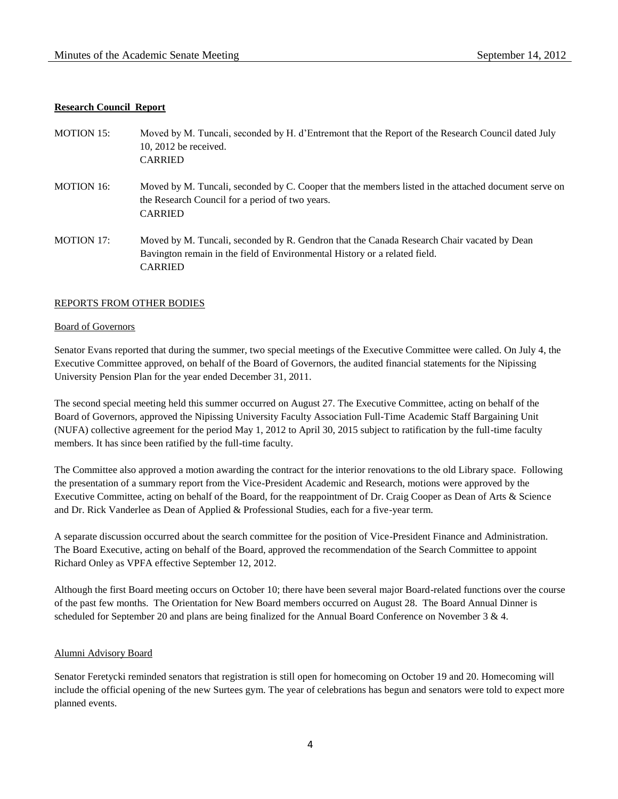## **Research Council Report**

| <b>MOTION 15:</b> | Moved by M. Tuncali, seconded by H. d'Entremont that the Report of the Research Council dated July<br>$10, 2012$ be received.<br><b>CARRIED</b>                                            |
|-------------------|--------------------------------------------------------------------------------------------------------------------------------------------------------------------------------------------|
| <b>MOTION 16:</b> | Moved by M. Tuncali, seconded by C. Cooper that the members listed in the attached document serve on<br>the Research Council for a period of two years.<br><b>CARRIED</b>                  |
| <b>MOTION 17:</b> | Moved by M. Tuncali, seconded by R. Gendron that the Canada Research Chair vacated by Dean<br>Bavington remain in the field of Environmental History or a related field.<br><b>CARRIED</b> |

### REPORTS FROM OTHER BODIES

### Board of Governors

Senator Evans reported that during the summer, two special meetings of the Executive Committee were called. On July 4, the Executive Committee approved, on behalf of the Board of Governors, the audited financial statements for the Nipissing University Pension Plan for the year ended December 31, 2011.

The second special meeting held this summer occurred on August 27. The Executive Committee, acting on behalf of the Board of Governors, approved the Nipissing University Faculty Association Full-Time Academic Staff Bargaining Unit (NUFA) collective agreement for the period May 1, 2012 to April 30, 2015 subject to ratification by the full-time faculty members. It has since been ratified by the full-time faculty.

The Committee also approved a motion awarding the contract for the interior renovations to the old Library space. Following the presentation of a summary report from the Vice-President Academic and Research, motions were approved by the Executive Committee, acting on behalf of the Board, for the reappointment of Dr. Craig Cooper as Dean of Arts & Science and Dr. Rick Vanderlee as Dean of Applied & Professional Studies, each for a five-year term.

A separate discussion occurred about the search committee for the position of Vice-President Finance and Administration. The Board Executive, acting on behalf of the Board, approved the recommendation of the Search Committee to appoint Richard Onley as VPFA effective September 12, 2012.

Although the first Board meeting occurs on October 10; there have been several major Board-related functions over the course of the past few months. The Orientation for New Board members occurred on August 28. The Board Annual Dinner is scheduled for September 20 and plans are being finalized for the Annual Board Conference on November 3 & 4.

### Alumni Advisory Board

Senator Feretycki reminded senators that registration is still open for homecoming on October 19 and 20. Homecoming will include the official opening of the new Surtees gym. The year of celebrations has begun and senators were told to expect more planned events.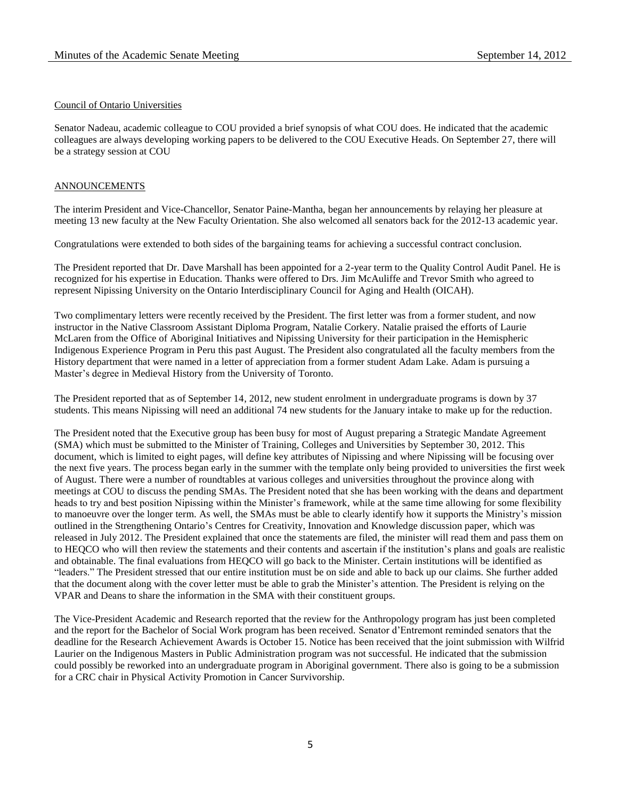### Council of Ontario Universities

Senator Nadeau, academic colleague to COU provided a brief synopsis of what COU does. He indicated that the academic colleagues are always developing working papers to be delivered to the COU Executive Heads. On September 27, there will be a strategy session at COU

### ANNOUNCEMENTS

The interim President and Vice-Chancellor, Senator Paine-Mantha, began her announcements by relaying her pleasure at meeting 13 new faculty at the New Faculty Orientation. She also welcomed all senators back for the 2012-13 academic year.

Congratulations were extended to both sides of the bargaining teams for achieving a successful contract conclusion.

The President reported that Dr. Dave Marshall has been appointed for a 2-year term to the Quality Control Audit Panel. He is recognized for his expertise in Education. Thanks were offered to Drs. Jim McAuliffe and Trevor Smith who agreed to represent Nipissing University on the Ontario Interdisciplinary Council for Aging and Health (OICAH).

Two complimentary letters were recently received by the President. The first letter was from a former student, and now instructor in the Native Classroom Assistant Diploma Program, Natalie Corkery. Natalie praised the efforts of Laurie McLaren from the Office of Aboriginal Initiatives and Nipissing University for their participation in the Hemispheric Indigenous Experience Program in Peru this past August. The President also congratulated all the faculty members from the History department that were named in a letter of appreciation from a former student Adam Lake. Adam is pursuing a Master's degree in Medieval History from the University of Toronto.

The President reported that as of September 14, 2012, new student enrolment in undergraduate programs is down by 37 students. This means Nipissing will need an additional 74 new students for the January intake to make up for the reduction.

The President noted that the Executive group has been busy for most of August preparing a Strategic Mandate Agreement (SMA) which must be submitted to the Minister of Training, Colleges and Universities by September 30, 2012. This document, which is limited to eight pages, will define key attributes of Nipissing and where Nipissing will be focusing over the next five years. The process began early in the summer with the template only being provided to universities the first week of August. There were a number of roundtables at various colleges and universities throughout the province along with meetings at COU to discuss the pending SMAs. The President noted that she has been working with the deans and department heads to try and best position Nipissing within the Minister's framework, while at the same time allowing for some flexibility to manoeuvre over the longer term. As well, the SMAs must be able to clearly identify how it supports the Ministry's mission outlined in the Strengthening Ontario's Centres for Creativity, Innovation and Knowledge discussion paper, which was released in July 2012. The President explained that once the statements are filed, the minister will read them and pass them on to HEQCO who will then review the statements and their contents and ascertain if the institution's plans and goals are realistic and obtainable. The final evaluations from HEQCO will go back to the Minister. Certain institutions will be identified as "leaders." The President stressed that our entire institution must be on side and able to back up our claims. She further added that the document along with the cover letter must be able to grab the Minister's attention. The President is relying on the VPAR and Deans to share the information in the SMA with their constituent groups.

The Vice-President Academic and Research reported that the review for the Anthropology program has just been completed and the report for the Bachelor of Social Work program has been received. Senator d'Entremont reminded senators that the deadline for the Research Achievement Awards is October 15. Notice has been received that the joint submission with Wilfrid Laurier on the Indigenous Masters in Public Administration program was not successful. He indicated that the submission could possibly be reworked into an undergraduate program in Aboriginal government. There also is going to be a submission for a CRC chair in Physical Activity Promotion in Cancer Survivorship.